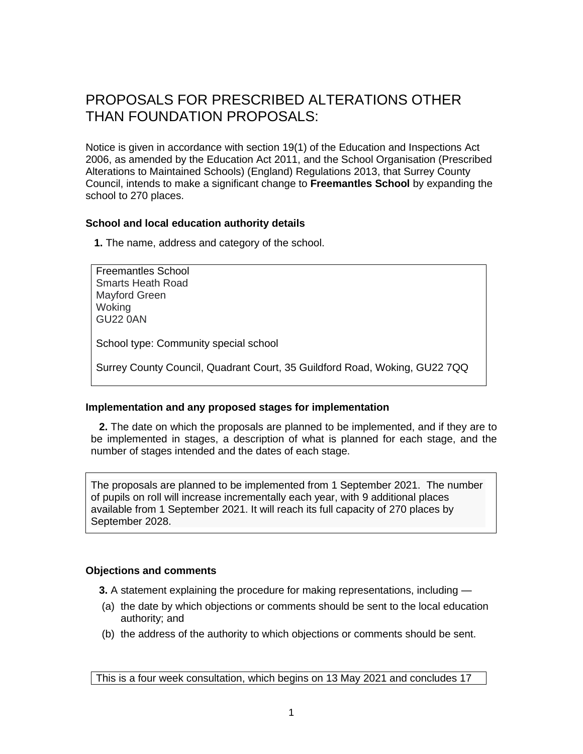# PROPOSALS FOR PRESCRIBED ALTERATIONS OTHER THAN FOUNDATION PROPOSALS:

Notice is given in accordance with section 19(1) of the Education and Inspections Act 2006, as amended by the Education Act 2011, and the School Organisation (Prescribed Alterations to Maintained Schools) (England) Regulations 2013, that Surrey County Council, intends to make a significant change to **Freemantles School** by expanding the school to 270 places.

# **School and local education authority details**

**1.** The name, address and category of the school.

Freemantles School Smarts Heath Road Mayford Green **Woking** GU22 0AN

School type: Community special school

Surrey County Council, Quadrant Court, 35 Guildford Road, Woking, GU22 7QQ

# **Implementation and any proposed stages for implementation**

**2.** The date on which the proposals are planned to be implemented, and if they are to be implemented in stages, a description of what is planned for each stage, and the number of stages intended and the dates of each stage.

The proposals are planned to be implemented from 1 September 2021. The number of pupils on roll will increase incrementally each year, with 9 additional places available from 1 September 2021. It will reach its full capacity of 270 places by September 2028.

# **Objections and comments**

**3.** A statement explaining the procedure for making representations, including —

- (a) the date by which objections or comments should be sent to the local education authority; and
- (b) the address of the authority to which objections or comments should be sent.

This is a four week consultation, which begins on 13 May 2021 and concludes 17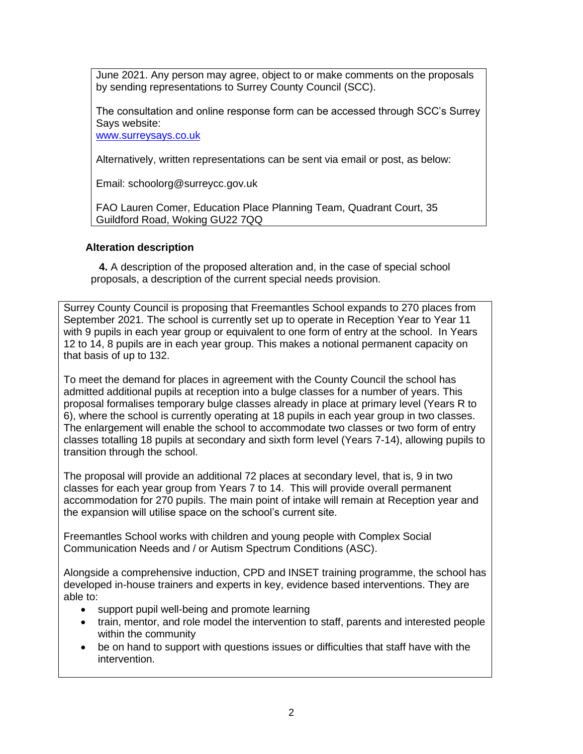June 2021. Any person may agree, object to or make comments on the proposals by sending representations to Surrey County Council (SCC).

The consultation and online response form can be accessed through SCC's Surrey Says website:

[www.surreysays.co.uk](http://www.surreysays.co.uk/)

Alternatively, written representations can be sent via email or post, as below:

Email: schoolorg@surreycc.gov.uk

FAO Lauren Comer, Education Place Planning Team, Quadrant Court, 35 Guildford Road, Woking GU22 7QQ

# **Alteration description**

**4.** A description of the proposed alteration and, in the case of special school proposals, a description of the current special needs provision.

Surrey County Council is proposing that Freemantles School expands to 270 places from September 2021. The school is currently set up to operate in Reception Year to Year 11 with 9 pupils in each year group or equivalent to one form of entry at the school. In Years 12 to 14, 8 pupils are in each year group. This makes a notional permanent capacity on that basis of up to 132.

To meet the demand for places in agreement with the County Council the school has admitted additional pupils at reception into a bulge classes for a number of years. This proposal formalises temporary bulge classes already in place at primary level (Years R to 6), where the school is currently operating at 18 pupils in each year group in two classes. The enlargement will enable the school to accommodate two classes or two form of entry classes totalling 18 pupils at secondary and sixth form level (Years 7-14), allowing pupils to transition through the school.

The proposal will provide an additional 72 places at secondary level, that is, 9 in two classes for each year group from Years 7 to 14. This will provide overall permanent accommodation for 270 pupils. The main point of intake will remain at Reception year and the expansion will utilise space on the school's current site.

Freemantles School works with children and young people with Complex Social Communication Needs and / or Autism Spectrum Conditions (ASC).

Alongside a comprehensive induction, CPD and INSET training programme, the school has developed in-house trainers and experts in key, evidence based interventions. They are able to:

- support pupil well-being and promote learning
- train, mentor, and role model the intervention to staff, parents and interested people within the community
- be on hand to support with questions issues or difficulties that staff have with the intervention.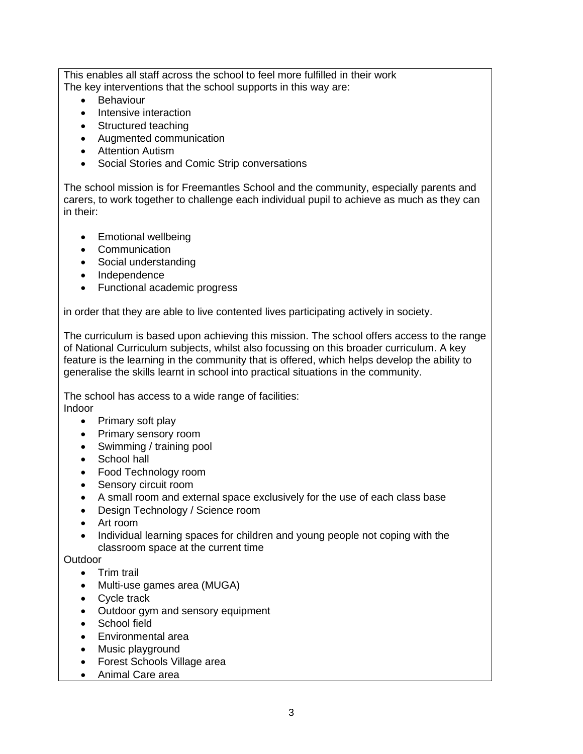This enables all staff across the school to feel more fulfilled in their work The key interventions that the school supports in this way are:

- **Behaviour**
- Intensive interaction
- Structured teaching
- Augmented communication
- Attention Autism
- Social Stories and Comic Strip conversations

The school mission is for Freemantles School and the community, especially parents and carers, to work together to challenge each individual pupil to achieve as much as they can in their:

- Emotional wellbeing
- Communication
- Social understanding
- Independence
- Functional academic progress

in order that they are able to live contented lives participating actively in society.

The curriculum is based upon achieving this mission. The school offers access to the range of National Curriculum subjects, whilst also focussing on this broader curriculum. A key feature is the learning in the community that is offered, which helps develop the ability to generalise the skills learnt in school into practical situations in the community.

The school has access to a wide range of facilities: Indoor

- Primary soft play
- Primary sensory room
- Swimming / training pool
- School hall
- Food Technology room
- Sensory circuit room
- A small room and external space exclusively for the use of each class base
- Design Technology / Science room
- Art room
- Individual learning spaces for children and young people not coping with the classroom space at the current time

**Outdoor** 

- Trim trail
- Multi-use games area (MUGA)
- Cycle track
- Outdoor gym and sensory equipment
- School field
- Environmental area
- Music playground
- Forest Schools Village area
- Animal Care area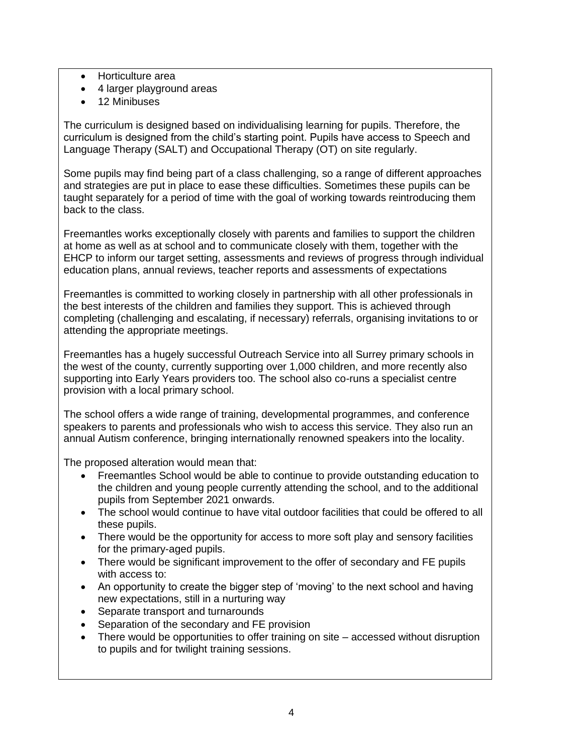- Horticulture area
- 4 larger playground areas
- 12 Minibuses

The curriculum is designed based on individualising learning for pupils. Therefore, the curriculum is designed from the child's starting point. Pupils have access to Speech and Language Therapy (SALT) and Occupational Therapy (OT) on site regularly.

Some pupils may find being part of a class challenging, so a range of different approaches and strategies are put in place to ease these difficulties. Sometimes these pupils can be taught separately for a period of time with the goal of working towards reintroducing them back to the class.

Freemantles works exceptionally closely with parents and families to support the children at home as well as at school and to communicate closely with them, together with the EHCP to inform our target setting, assessments and reviews of progress through individual education plans, annual reviews, teacher reports and assessments of expectations

Freemantles is committed to working closely in partnership with all other professionals in the best interests of the children and families they support. This is achieved through completing (challenging and escalating, if necessary) referrals, organising invitations to or attending the appropriate meetings.

Freemantles has a hugely successful Outreach Service into all Surrey primary schools in the west of the county, currently supporting over 1,000 children, and more recently also supporting into Early Years providers too. The school also co-runs a specialist centre provision with a local primary school.

The school offers a wide range of training, developmental programmes, and conference speakers to parents and professionals who wish to access this service. They also run an annual Autism conference, bringing internationally renowned speakers into the locality.

The proposed alteration would mean that:

- Freemantles School would be able to continue to provide outstanding education to the children and young people currently attending the school, and to the additional pupils from September 2021 onwards.
- The school would continue to have vital outdoor facilities that could be offered to all these pupils.
- There would be the opportunity for access to more soft play and sensory facilities for the primary-aged pupils.
- There would be significant improvement to the offer of secondary and FE pupils with access to:
- An opportunity to create the bigger step of 'moving' to the next school and having new expectations, still in a nurturing way
- Separate transport and turnarounds
- Separation of the secondary and FE provision
- There would be opportunities to offer training on site accessed without disruption to pupils and for twilight training sessions.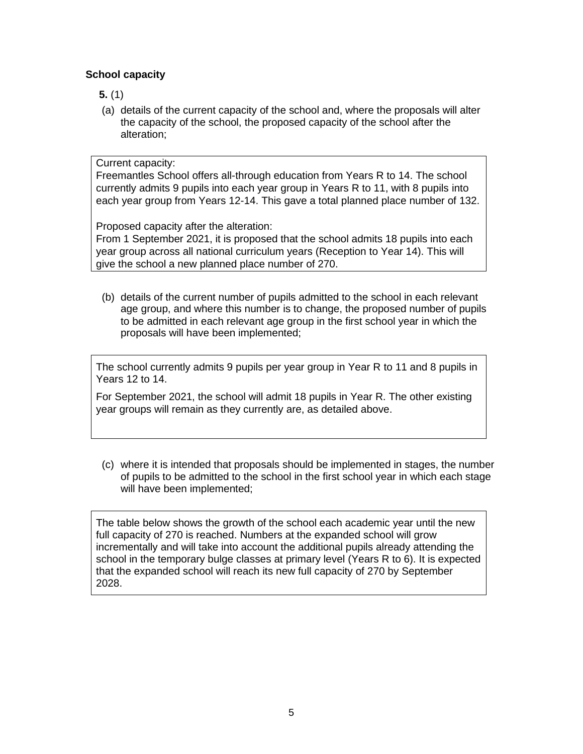# **School capacity**

# **5.** (1)

(a) details of the current capacity of the school and, where the proposals will alter the capacity of the school, the proposed capacity of the school after the alteration;

# Current capacity:

Freemantles School offers all-through education from Years R to 14. The school currently admits 9 pupils into each year group in Years R to 11, with 8 pupils into each year group from Years 12-14. This gave a total planned place number of 132.

Proposed capacity after the alteration:

From 1 September 2021, it is proposed that the school admits 18 pupils into each year group across all national curriculum years (Reception to Year 14). This will give the school a new planned place number of 270.

(b) details of the current number of pupils admitted to the school in each relevant age group, and where this number is to change, the proposed number of pupils to be admitted in each relevant age group in the first school year in which the proposals will have been implemented;

The school currently admits 9 pupils per year group in Year R to 11 and 8 pupils in Years 12 to 14.

For September 2021, the school will admit 18 pupils in Year R. The other existing year groups will remain as they currently are, as detailed above.

(c) where it is intended that proposals should be implemented in stages, the number of pupils to be admitted to the school in the first school year in which each stage will have been implemented;

The table below shows the growth of the school each academic year until the new full capacity of 270 is reached. Numbers at the expanded school will grow incrementally and will take into account the additional pupils already attending the school in the temporary bulge classes at primary level (Years R to 6). It is expected that the expanded school will reach its new full capacity of 270 by September 2028.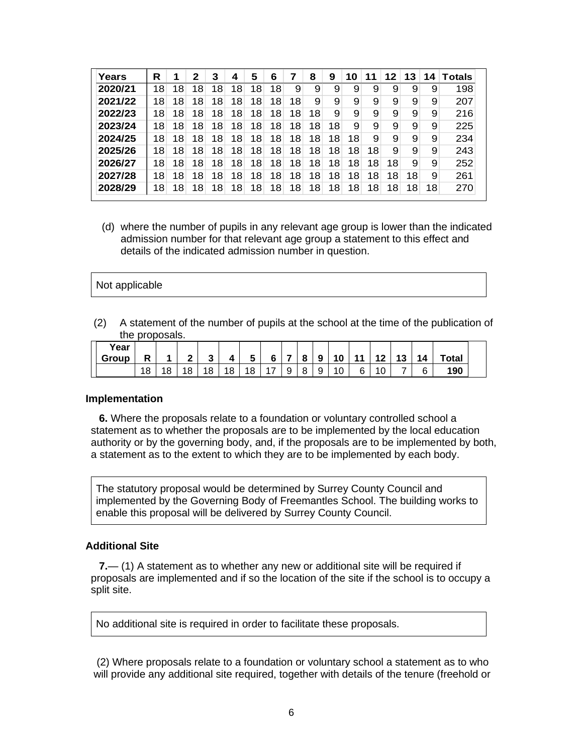| Years   | R               | 1  | 2  | 3  | 4  | 5  | 6  | 7               | 8  | 9  | 10 | 11 | 12 | 13 | 14 | Totals |
|---------|-----------------|----|----|----|----|----|----|-----------------|----|----|----|----|----|----|----|--------|
| 2020/21 | 18              | 18 | 18 | 18 | 18 | 18 | 18 | 9               | 9  | 9  | 9  | 9  | 9  | 9  | 9  | 198    |
| 2021/22 | 18              | 18 | 18 | 18 | 18 | 18 | 18 | 18              | 9  | 9  | 9  | 9  | 9  | 9  | 9  | 207    |
| 2022/23 | 18              | 18 | 18 | 18 | 18 | 18 | 18 | 18              | 18 | 9  | 9  | 9  | 9  | 9  | 9  | 216    |
| 2023/24 | 18              | 18 | 18 | 18 | 18 | 18 | 18 | 18              | 18 | 18 | 9  | 9  | 9  | 9  | 9  | 225    |
| 2024/25 | 18              | 18 | 18 | 18 | 18 | 18 | 18 | 18              | 18 | 18 | 18 | 9  | 9  | 9  | 9  | 234    |
| 2025/26 | 18              | 18 | 18 | 18 | 18 | 18 | 18 | 18              | 18 | 18 | 18 | 18 | 9  | 9  | 9  | 243    |
| 2026/27 | 18 <sub>1</sub> | 18 | 18 | 18 | 18 | 18 | 18 | 18 <sub>1</sub> | 18 | 18 | 18 | 18 | 18 | 9  | 9  | 252    |
| 2027/28 | 18              | 18 | 18 | 18 | 18 | 18 | 18 | 18              | 18 | 18 | 18 | 18 | 18 | 18 | 9  | 261    |
| 2028/29 | 18              | 18 | 18 | 18 | 18 | 18 | 18 | 18              | 18 | 18 | 18 | 18 | 18 | 18 | 18 | 270    |

(d) where the number of pupils in any relevant age group is lower than the indicated admission number for that relevant age group a statement to this effect and details of the indicated admission number in question.

#### Not applicable

(2) A statement of the number of pupils at the school at the time of the publication of the proposals.

| Year<br><b>Group</b> | R  |    | ົ  | ◠<br>w | л  | -<br>w | c     |        | 8 | 9 | 10 | 11 |    | 13 | 14 | Total |  |
|----------------------|----|----|----|--------|----|--------|-------|--------|---|---|----|----|----|----|----|-------|--|
|                      | 18 | 18 | 18 | 18     | 18 | 18     | $4 -$ | a<br>◡ | 8 | a | 10 | 6  | 10 |    | 6  | 190   |  |

#### **Implementation**

**6.** Where the proposals relate to a foundation or voluntary controlled school a statement as to whether the proposals are to be implemented by the local education authority or by the governing body, and, if the proposals are to be implemented by both, a statement as to the extent to which they are to be implemented by each body.

The statutory proposal would be determined by Surrey County Council and implemented by the Governing Body of Freemantles School. The building works to enable this proposal will be delivered by Surrey County Council.

#### **Additional Site**

**7.**— (1) A statement as to whether any new or additional site will be required if proposals are implemented and if so the location of the site if the school is to occupy a split site.

No additional site is required in order to facilitate these proposals.

(2) Where proposals relate to a foundation or voluntary school a statement as to who will provide any additional site required, together with details of the tenure (freehold or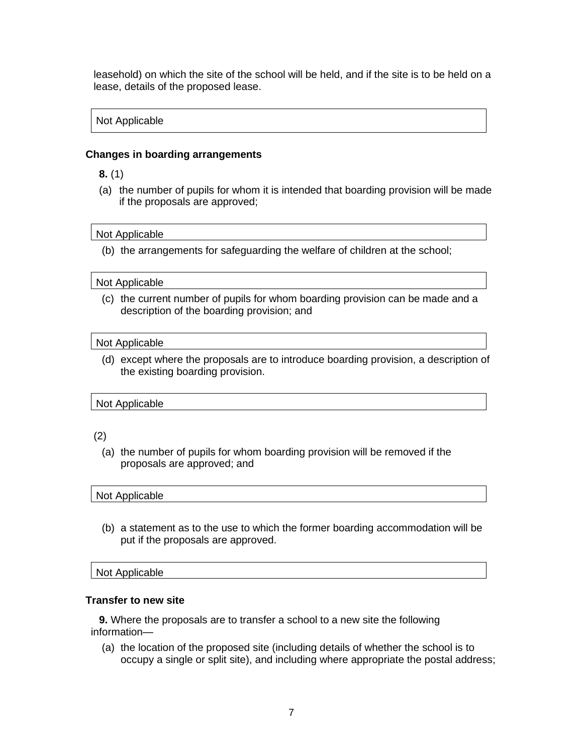leasehold) on which the site of the school will be held, and if the site is to be held on a lease, details of the proposed lease.

# Not Applicable

### **Changes in boarding arrangements**

**8.** (1)

(a) the number of pupils for whom it is intended that boarding provision will be made if the proposals are approved;

#### Not Applicable

(b) the arrangements for safeguarding the welfare of children at the school;

#### Not Applicable

(c) the current number of pupils for whom boarding provision can be made and a description of the boarding provision; and

#### Not Applicable

(d) except where the proposals are to introduce boarding provision, a description of the existing boarding provision.

### Not Applicable

# (2)

(a) the number of pupils for whom boarding provision will be removed if the proposals are approved; and

#### Not Applicable

(b) a statement as to the use to which the former boarding accommodation will be put if the proposals are approved.

### Not Applicable

### **Transfer to new site**

**9.** Where the proposals are to transfer a school to a new site the following information—

(a) the location of the proposed site (including details of whether the school is to occupy a single or split site), and including where appropriate the postal address;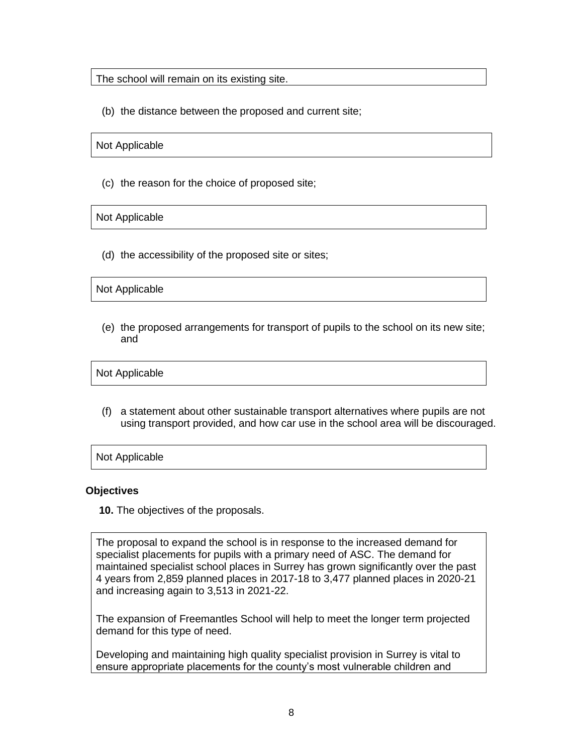The school will remain on its existing site.

(b) the distance between the proposed and current site;

Not Applicable

(c) the reason for the choice of proposed site;

Not Applicable

(d) the accessibility of the proposed site or sites;

Not Applicable

(e) the proposed arrangements for transport of pupils to the school on its new site; and

Not Applicable

(f) a statement about other sustainable transport alternatives where pupils are not using transport provided, and how car use in the school area will be discouraged.

Not Applicable

### **Objectives**

**10.** The objectives of the proposals.

The proposal to expand the school is in response to the increased demand for specialist placements for pupils with a primary need of ASC. The demand for maintained specialist school places in Surrey has grown significantly over the past 4 years from 2,859 planned places in 2017-18 to 3,477 planned places in 2020-21 and increasing again to 3,513 in 2021-22.

The expansion of Freemantles School will help to meet the longer term projected demand for this type of need.

Developing and maintaining high quality specialist provision in Surrey is vital to ensure appropriate placements for the county's most vulnerable children and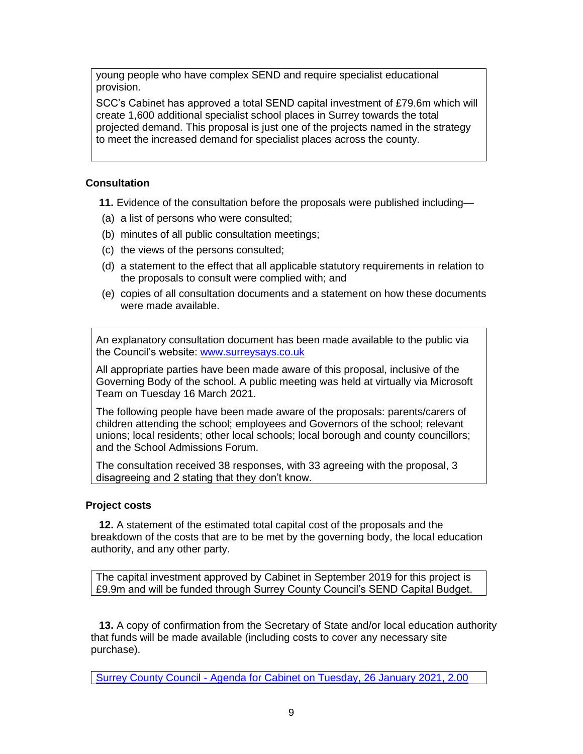young people who have complex SEND and require specialist educational provision.

SCC's Cabinet has approved a total SEND capital investment of £79.6m which will create 1,600 additional specialist school places in Surrey towards the total projected demand. This proposal is just one of the projects named in the strategy to meet the increased demand for specialist places across the county.

# **Consultation**

**11.** Evidence of the consultation before the proposals were published including—

- (a) a list of persons who were consulted;
- (b) minutes of all public consultation meetings;
- (c) the views of the persons consulted;
- (d) a statement to the effect that all applicable statutory requirements in relation to the proposals to consult were complied with; and
- (e) copies of all consultation documents and a statement on how these documents were made available.

An explanatory consultation document has been made available to the public via the Council's website: [www.surreysays.co.uk](http://www.surreysays.co.uk/)

All appropriate parties have been made aware of this proposal, inclusive of the Governing Body of the school. A public meeting was held at virtually via Microsoft Team on Tuesday 16 March 2021.

The following people have been made aware of the proposals: parents/carers of children attending the school; employees and Governors of the school; relevant unions; local residents; other local schools; local borough and county councillors; and the School Admissions Forum.

The consultation received 38 responses, with 33 agreeing with the proposal, 3 disagreeing and 2 stating that they don't know.

# **Project costs**

**12.** A statement of the estimated total capital cost of the proposals and the breakdown of the costs that are to be met by the governing body, the local education authority, and any other party.

The capital investment approved by Cabinet in September 2019 for this project is £9.9m and will be funded through Surrey County Council's SEND Capital Budget.

**13.** A copy of confirmation from the Secretary of State and/or local education authority that funds will be made available (including costs to cover any necessary site purchase).

Surrey County Council - [Agenda for Cabinet on Tuesday, 26 January 2021, 2.00](https://mycouncil.surreycc.gov.uk/ieListDocuments.aspx?CId=120&MId=7760&Ver=4)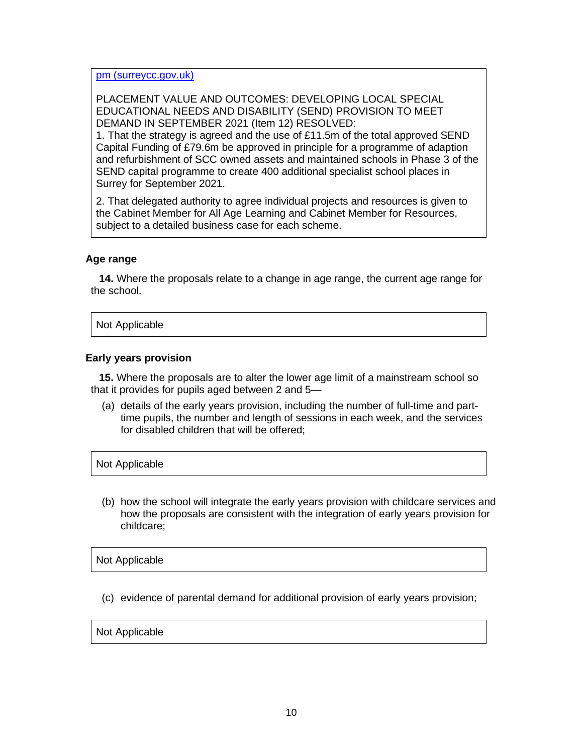[pm \(surreycc.gov.uk\)](https://mycouncil.surreycc.gov.uk/ieListDocuments.aspx?CId=120&MId=7760&Ver=4)

PLACEMENT VALUE AND OUTCOMES: DEVELOPING LOCAL SPECIAL EDUCATIONAL NEEDS AND DISABILITY (SEND) PROVISION TO MEET DEMAND IN SEPTEMBER 2021 (Item 12) RESOLVED:

1. That the strategy is agreed and the use of £11.5m of the total approved SEND Capital Funding of £79.6m be approved in principle for a programme of adaption and refurbishment of SCC owned assets and maintained schools in Phase 3 of the SEND capital programme to create 400 additional specialist school places in Surrey for September 2021.

2. That delegated authority to agree individual projects and resources is given to the Cabinet Member for All Age Learning and Cabinet Member for Resources, subject to a detailed business case for each scheme.

# **Age range**

**14.** Where the proposals relate to a change in age range, the current age range for the school.

Not Applicable

### **Early years provision**

**15.** Where the proposals are to alter the lower age limit of a mainstream school so that it provides for pupils aged between 2 and 5—

(a) details of the early years provision, including the number of full-time and parttime pupils, the number and length of sessions in each week, and the services for disabled children that will be offered;

Not Applicable

(b) how the school will integrate the early years provision with childcare services and how the proposals are consistent with the integration of early years provision for childcare;

Not Applicable

(c) evidence of parental demand for additional provision of early years provision;

Not Applicable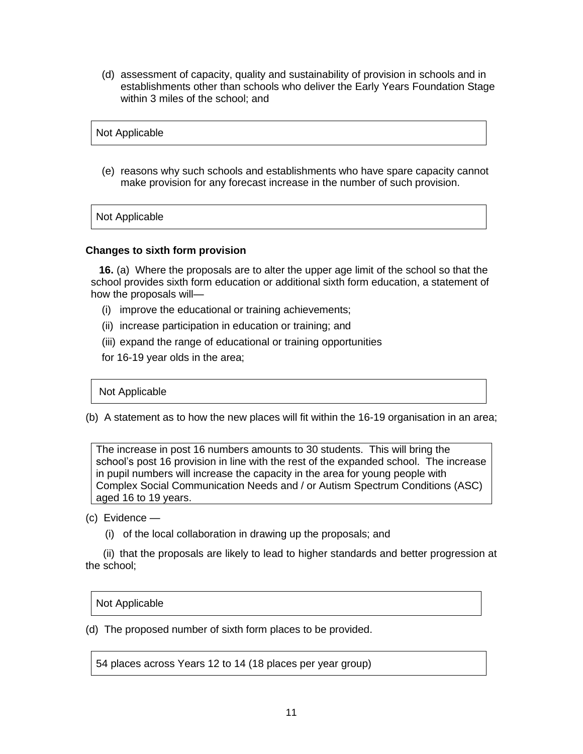(d) assessment of capacity, quality and sustainability of provision in schools and in establishments other than schools who deliver the Early Years Foundation Stage within 3 miles of the school; and

Not Applicable

(e) reasons why such schools and establishments who have spare capacity cannot make provision for any forecast increase in the number of such provision.

Not Applicable

# **Changes to sixth form provision**

**16.** (a) Where the proposals are to alter the upper age limit of the school so that the school provides sixth form education or additional sixth form education, a statement of how the proposals will—

- (i) improve the educational or training achievements;
- (ii) increase participation in education or training; and
- (iii) expand the range of educational or training opportunities
- for 16-19 year olds in the area;

Not Applicable

(b) A statement as to how the new places will fit within the 16-19 organisation in an area;

The increase in post 16 numbers amounts to 30 students. This will bring the school's post 16 provision in line with the rest of the expanded school. The increase in pupil numbers will increase the capacity in the area for young people with Complex Social Communication Needs and / or Autism Spectrum Conditions (ASC) aged 16 to 19 years.

- (c) Evidence
	- (i) of the local collaboration in drawing up the proposals; and

 (ii) that the proposals are likely to lead to higher standards and better progression at the school;

Not Applicable

(d) The proposed number of sixth form places to be provided.

54 places across Years 12 to 14 (18 places per year group)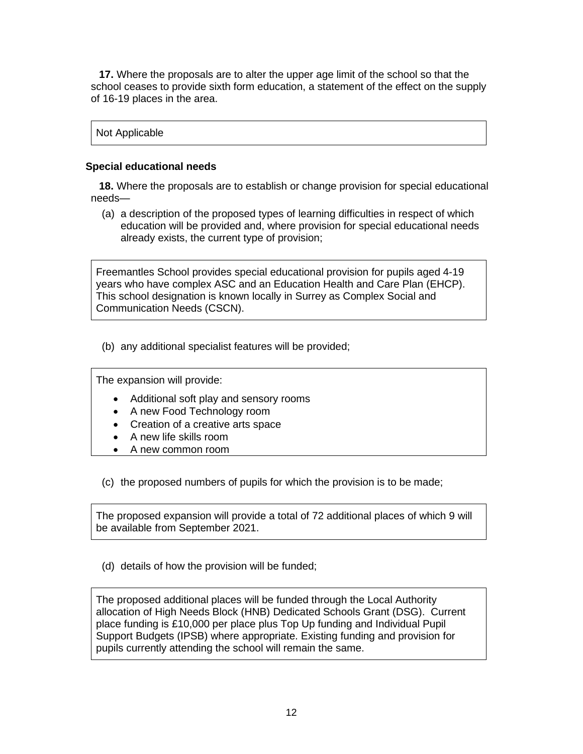**17.** Where the proposals are to alter the upper age limit of the school so that the school ceases to provide sixth form education, a statement of the effect on the supply of 16-19 places in the area.

Not Applicable

# **Special educational needs**

**18.** Where the proposals are to establish or change provision for special educational needs—

(a) a description of the proposed types of learning difficulties in respect of which education will be provided and, where provision for special educational needs already exists, the current type of provision;

Freemantles School provides special educational provision for pupils aged 4-19 years who have complex ASC and an Education Health and Care Plan (EHCP). This school designation is known locally in Surrey as Complex Social and Communication Needs (CSCN).

(b) any additional specialist features will be provided;

The expansion will provide:

- Additional soft play and sensory rooms
- A new Food Technology room
- Creation of a creative arts space
- A new life skills room
- A new common room

(c) the proposed numbers of pupils for which the provision is to be made;

The proposed expansion will provide a total of 72 additional places of which 9 will be available from September 2021.

(d) details of how the provision will be funded;

The proposed additional places will be funded through the Local Authority allocation of High Needs Block (HNB) Dedicated Schools Grant (DSG). Current place funding is £10,000 per place plus Top Up funding and Individual Pupil Support Budgets (IPSB) where appropriate. Existing funding and provision for pupils currently attending the school will remain the same.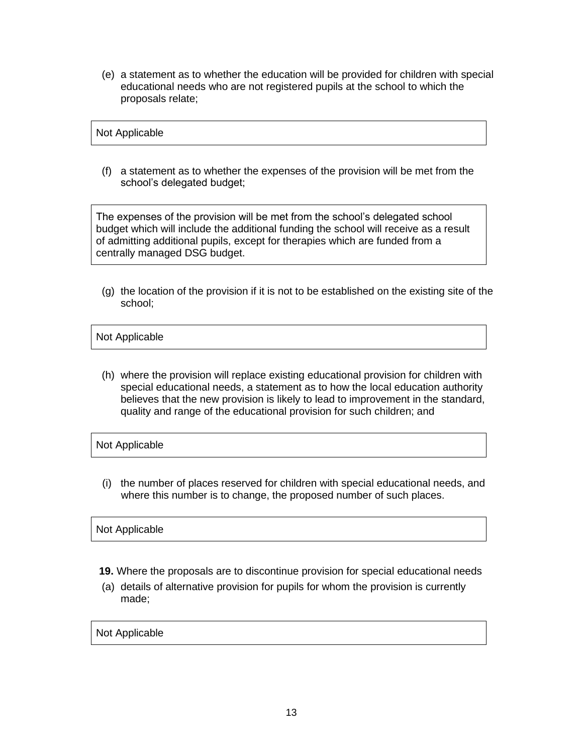(e) a statement as to whether the education will be provided for children with special educational needs who are not registered pupils at the school to which the proposals relate;

# Not Applicable

(f) a statement as to whether the expenses of the provision will be met from the school's delegated budget;

The expenses of the provision will be met from the school's delegated school budget which will include the additional funding the school will receive as a result of admitting additional pupils, except for therapies which are funded from a centrally managed DSG budget.

(g) the location of the provision if it is not to be established on the existing site of the school;

### Not Applicable

(h) where the provision will replace existing educational provision for children with special educational needs, a statement as to how the local education authority believes that the new provision is likely to lead to improvement in the standard, quality and range of the educational provision for such children; and

# Not Applicable

(i) the number of places reserved for children with special educational needs, and where this number is to change, the proposed number of such places.

# Not Applicable

- **19.** Where the proposals are to discontinue provision for special educational needs
- (a) details of alternative provision for pupils for whom the provision is currently made;

### Not Applicable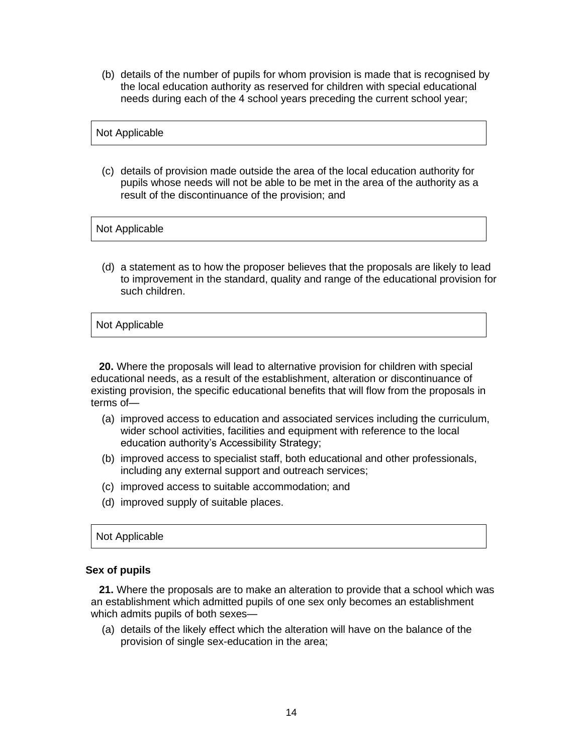(b) details of the number of pupils for whom provision is made that is recognised by the local education authority as reserved for children with special educational needs during each of the 4 school years preceding the current school year;

### Not Applicable

(c) details of provision made outside the area of the local education authority for pupils whose needs will not be able to be met in the area of the authority as a result of the discontinuance of the provision; and

#### Not Applicable

(d) a statement as to how the proposer believes that the proposals are likely to lead to improvement in the standard, quality and range of the educational provision for such children.

### Not Applicable

**20.** Where the proposals will lead to alternative provision for children with special educational needs, as a result of the establishment, alteration or discontinuance of existing provision, the specific educational benefits that will flow from the proposals in terms of—

- (a) improved access to education and associated services including the curriculum, wider school activities, facilities and equipment with reference to the local education authority's Accessibility Strategy;
- (b) improved access to specialist staff, both educational and other professionals, including any external support and outreach services;
- (c) improved access to suitable accommodation; and
- (d) improved supply of suitable places.

#### Not Applicable

#### **Sex of pupils**

**21.** Where the proposals are to make an alteration to provide that a school which was an establishment which admitted pupils of one sex only becomes an establishment which admits pupils of both sexes—

(a) details of the likely effect which the alteration will have on the balance of the provision of single sex-education in the area;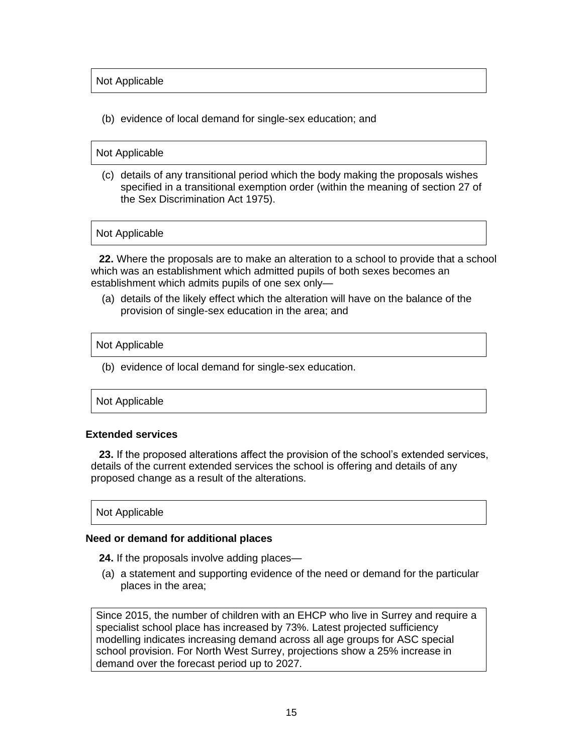Not Applicable

(b) evidence of local demand for single-sex education; and

# Not Applicable

(c) details of any transitional period which the body making the proposals wishes specified in a transitional exemption order (within the meaning of section 27 of the Sex Discrimination Act 1975).

Not Applicable

**22.** Where the proposals are to make an alteration to a school to provide that a school which was an establishment which admitted pupils of both sexes becomes an establishment which admits pupils of one sex only—

(a) details of the likely effect which the alteration will have on the balance of the provision of single-sex education in the area; and

### Not Applicable

(b) evidence of local demand for single-sex education.

### Not Applicable

### **Extended services**

**23.** If the proposed alterations affect the provision of the school's extended services, details of the current extended services the school is offering and details of any proposed change as a result of the alterations.

### Not Applicable

### **Need or demand for additional places**

**24.** If the proposals involve adding places—

(a) a statement and supporting evidence of the need or demand for the particular places in the area;

Since 2015, the number of children with an EHCP who live in Surrey and require a specialist school place has increased by 73%. Latest projected sufficiency modelling indicates increasing demand across all age groups for ASC special school provision. For North West Surrey, projections show a 25% increase in demand over the forecast period up to 2027.